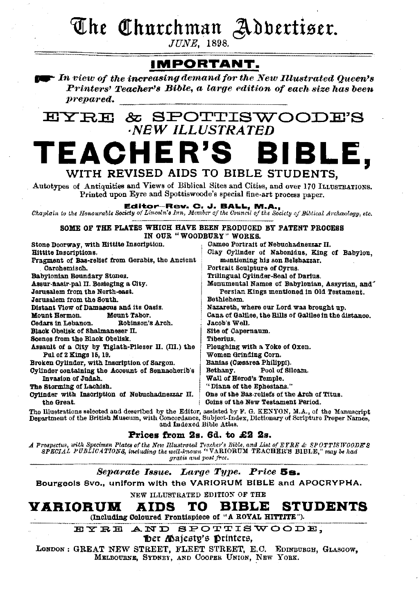The Churchman Adbertiser.

**JUNE.** 1898.

# **IMPORTANT.**

In view of the increasing demand for the New Illustrated Oueen's Printers' Teacher's Bible, a large edition of each size has been prepared.

#### EYRE & SPOTTISWOOI **NEW ILLUSTRATED TEACHER'S** BIBLE. WITH REVISED AIDS TO BIBLE STUDENTS. Autotypes of Antiquities and Views of Biblical Sites and Cities, and over 170 ILLUSTRATIONS. Printed upon Eyre and Spottiswoode's special fine-art process paper. Editor-Rev. C. J. BALL, M.A.,<br>Chaplain to the Honourable Society of Lincoln's Inn, Member of the Council of the Society of Biblical Archaelogy, etc. SOME OF THE PLATES WHICH HAVE BEEN PRODUCED BY PATENT PROCESS IN OUR "WOODBURY" WORKS. Stone Doorway, with Hittite Inscription. Cameo Portrait of Nebuchadnezzar II. Clay Cylinder of Nabonidus, King of Babylon. **Hittite Inscriptions.** Fragment of Bas-relief from Gerabis, the Ancient mentioning his son Belshazzar. Carchemisch. Portrait Sculpture of Cyrus. Babylonian Boundary Stones. Trilingual Ovlinder-Seal of Darius. Assur-nasir-pal II. Besieging a City. Monumental Names of Babylonian, Assyrian, and Jerusalem from the North-east. Persian Kings mentioned in Old Testament. Jarusalem from the South. Bethlehem. Distant View of Damasqus and its Oasis. Nazareth, where our Lord was brought up. Mount Hermon. Mount Tabor. Cana of Galilee, the Hills of Galilee in the distance. Cedars in Lebanon. Robinson's Arch. Jacob's Well. Black Obelisk of Shalmaneser II. Site of Capernaum. Scenes from the Black Obelisk. **Tiberius** Assault of a City by Tiglath-Pileser II. (III.) the Ploughing with a Yoke of Oxen. Pul of 2 Kings 15, 19. Women Grinding Corn. Broken Ovlinder, with Inscription of Sargon. Banias (Cæsarea Philippi). Cylinder containing the Account of Sennacherib's Bethany. Pool of Siloam. Invasion of Judah. Wall of Herod's Temple. The Storming of Lachish. "Diana of the Enhesians." Cylinder with Inscription of Nebuchadnezzar II. One of the Bas-reliefs of the Arch of Titus. Coins of the New Testament Period. the Great. The Illustrations selected and described by the Editor, assisted by F. G. KENYON, M.A., of the Manuscript<br>Department of the British Museum, with Concordance, Subject-Index, Dictionary of Scripture Proper Names,<br>and Indexed

Prices from 2s. 6d. to £2 2s.

*A* Prospectus, with Specimen Plates of the New Illustrated Teacher's Bible, and List of EYRE & SPOTTISWOODE'S SPECIAL PUBLICATIONS, including the well-known "VARIORUM TEACHER'S BIBLE," may be had gratis and post free.

Separate Issue. Large Type. Price 5s.

Bourgeols 8vo., uniform with the VARIORUM BIBLE and APOCRYPHA.

NEW ILLUSTRATED EDITION OF THE

BIBLE **STUDENTS** VARIORUM TO AIDS (Including Coloured Frontispiece of "A ROYAL HITTITE").

EYRE AND SPOTTISWOODE.

foer *Majesty's* Drinters.

LONDON: GREAT NEW STREET, FLEET STREET, E.C. EDINBURGH, GLASGOW, MELBOURNE, SYDNEY, AND COOPER UNION, NEW YORK.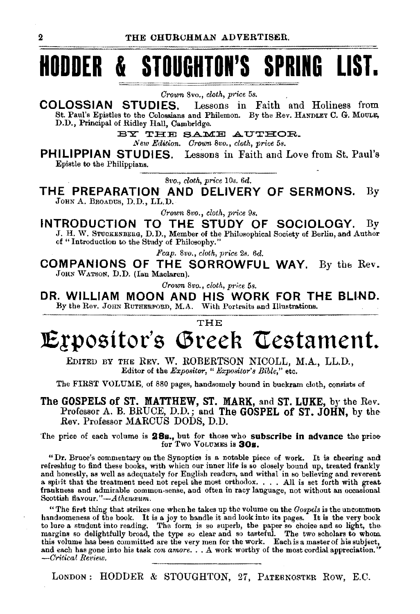# HODDER & STOUGHTON'S SPRING LIST.

*Crown* 8vo., *cloth, price* 5s.

**COLOSSIAN STUDIES.** Lessons in Faith and Holiness from St. Paul's Epistles to the Colossians and Philemon. By the Rev. HANDLEY C. G. MOULE, D.D., Principal of Ridley Hall, Cambridge.

BY THE SAME AUTHOR.

*New Edition. Crown* 8vo., *cloth, price* 5s.

**PHILIPPIAN STUDIES.** Lessons in Faith and Love from St. Paul's Epistle to the Philippians.

*Bvo., cloth, price* 10s. 6d.

**THE PREPARATION AND DELIVERY OF SERMONS.** By JOHN A. BROADUS, D.D., LL.D.

*Crou-n 8vo., cloth, price 9s.* 

**INTRODUCTION TO THE STUDY OF SOCIOLOGY.** By J. H. W. STUOKENBERG, D. D., Member of the Philosophical Society of Berlin, and Author of "Introduction to the Study of Philosophy."

*Fcap.* 8vo., *cloth, price 2s. 6d.* 

**COMPANIONS OF THE SORROWFUL WAY.** By the Rev. JOHN WATSON, D.D. (Ian Maclaren).

*Crown 8vo., cloth, price* 5s.

**DR. WILLIAM MOON AND HIS WORK FOR THE BLI-ND.**  By the Rev. JOHN RUTHERFORD, M.A. With Portraits and Illustrations.

THE

# **lE!positor's \Sreeh \testament.**

EDITED BY THE REV. W. ROBERTSON NICOLL, M.A., LL.D., Editor of the *Expositor, "Expositor's Bible,"* etc.

The FIRST VOLUME, of 880 pages, handsomely bound in buckram cloth, consists of

**The GOSPELS of ST. MATTHEW,** ST. **MARK,** and **ST. LUKE,** by the Rev. Professor A. B. BRUCE, D.D.; and The **GOSPEL of** ST. **JOHN,** by the Rev. Professor MARCUS DODS, D.D.

The price of each volume is **2Bs.,** but for those who subscribe **in** advance the pric& for Two VoLUMEs is **30s.** 

"Dr. Bruce's commentary on the Synoptics is a notable piece of work. It is cheering and refreshing to find these books, with whicll our inner life is so closely bound up, treated frankly and honestly, as well as adequately for English readers, and withal in so believing and reverent a spirit that the treatment need not repel the most orthodox. . . . All is set forth with great frankness and admirable common·sense, and often in racy language, not without an occasional Scottish flavour."-Athenceum.

"The first thing that strikes one when he takes up the volume on the *Gospels* is the uncommon handsomeness of the book. It is a joy to handle it and look into its pages. It is the very book to lure a student into reading. The form is so superb, the paper so choice and so light, the margins so delightfully broad, the type so clear and so tasteful. The two scholars to whom this volume bas been committed are the very men for the work. Each is a master of his subject, and each has gone into his task *con amore*. . . A work worthy of the most cordial appreciation.  $-Critical$  *Review.* 

LONDON: HODDER & STOUGHTON, 27, PATERNOSTER ROW, E.C.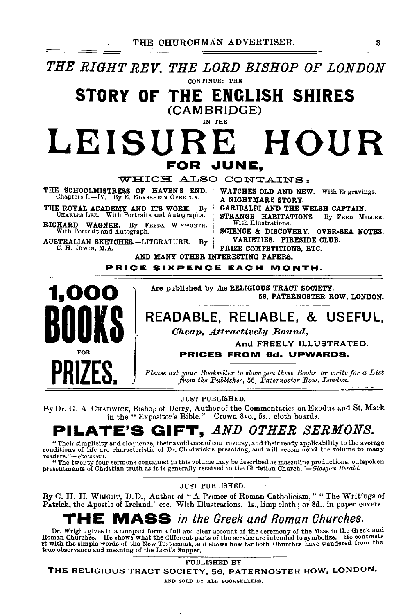*THE RIGHT REV. THE LORD BISHOP OF LONDON* CONTINUES THE

## STORY OF THE ENGLISH SHIRES (CAMBRIDGE)

#### IN THE

# LEISURE HOUR FOR JUNE.

WHICH ALSO CONTAINS:

THE SCHOOLMISTRESS OF HAVEN'S END. WATCHES OLD AND NEW. With Engravings.<br>Chapters L-IV. By E. EDERSHEIM OVERTON. A NIGHTMARE STORY.

THE ROYAL ACADEMY AND ITS WORK. By CHARLES LEE. With Portraits and Autographs.

RICHARD WAGNER. By FREDA WINWORTH.<br>With Portrait and Autograph.

AUSTRALIAN SKETCHES.-LITERATURE. By c. H. lRW<N, M.A.

AND MANY OTHER INTERESTING PAPERS.

PRICE SIXPENCE EACH MONTH.



Are published by the RELIGIOUS TRACT SOCIETY, 56, PATERNOSTER ROW, LONDON.

PRIZE COMPETITIONS, ETC.

# READABLE, RELIABLE, & USEFUL,

*Cheap, .Attractively Bound,* 

And FREELY ILLUSTRATED.

PRICES FROM 6d. UPWARDS.

*Please ask your Bookseller to show you these Books, or write for a List* from the Publisher, 56, Paternoster Row, London.

,JUST PUBLISHED.

By Dr. G. A. CHADWICK, Bishop of Derry, Author of the Commentaries on Exodus and St. Mark in the "Expositor's Bible." Crown 8vo., 5s., cloth boards.

# PILATE'S GIFT, *AND OTHER SERMONS.*

"Their simplicity and eloquence, their avoidance of controversy, and their ready applicability to the average conditions of life are characteristic of Dr. Chadwick's preaching, and will recommend the volume to many reader

presentments of Christian truth as it is generally received in the Christian Church."-Glasgow Herald.

JUST PUBLISHED.

By C. H. H. WRIGHT, D.D., Author of "A Primer of Roman Catholicism," "The Writings of Patrick, the Apostle of Ireland," etc. With Illustrations. Is., limp cloth; or 8d., in paper covers.

# THE MASS *in the Greek and Roman Churches.*

Dr. Wright gives in a compact form a full and clear account of the ceremony of the Mass in the Greek and Electron of the service are intended to symbolize. He contrasts it with the simple words of the New Testament, and shows how far both Churches have wandered from the strike it with the simple words of the New Testament, an true observance and meaning of the Lord's Supper.<br>PUBLISHED BY

THE RELIGIOUS TRACT SOCIETY, 56, PATERNOSTER ROW, LONDON,

AND SOLD BY ALL BOOKSELLERS.

GARIBALDI AND THE WELSH CAPTAIN.

STRANGE HABITATIONS By FRED MILLER. With Illustrations.

SCIENCE & DISCOVERY. OVER-SEA NOTES. VARIETIES. FIRESIDE CLUB.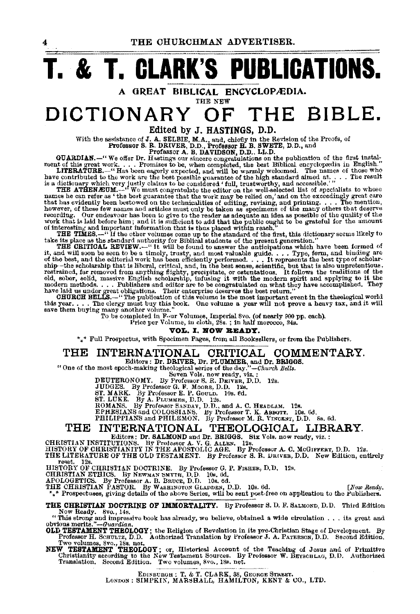THE CHURCHMAN ADVERTISER.

# **T. & T. CLARK'S PUBLICATIONS.**

A GREAT BIBLICAL ENCYCLOPÆDIA.<br>DICTIONARY OF THE **DICTIONARY OF THE BIBLE.** 

Edited by J. HASTINGS, D.D.

With the assistance of **J. A.** SELBIE, M.A., and, chiefly in the Revision of the Proofs, of<br> **Professor S. R. DRIVER, D.D., Professor H. B. SWETE, D.D.**, and<br> **GUARDIAN. PROFESSOR A. B. DAVIDSON, D.D., LL.D.**<br> **GUARDIAN** 

however, of these few names and articles must only be taken as specimens of the many others that deserve recording. Our endeavour has been to give to the reader as adequate an idea as posselbe of the quality of the work th

The curricular Review.—" It will oso to the sound to answer the antincipations when the seen be the theory in the stand will soon be seen to be a timely, trusty, and most valuable guide. . . Type, form, and binding are of

To be completed in Four Volumes, Imperial 8vo. (of nearly 900 pp. each). Price per Volume, in cloth, 28s. ; in half morocco, 34s.

VOL. I. NOW READY.

 $*_*$ \* Full Prospectus, with Specimen Pages, from all Booksellers, or from the Publishers.

# THE INTERNATIONAL CRITICAL COMMENTARY.

"One of the most epoch-making theological series of the day."-Church Bells.<br>
DEUTERONOMY. By Professor S. R. DEIVER, D.D. 12s.<br>
JUDGES. By Professor G. F. Moore, D.D. 12s.<br>
TUDGES. By Professor G. F. Moore, D.D. 12s.<br>
ST.

# THE INTERNATIONAL THEOLOGICAL LIBRARY.

Editors: Dr. SALMOND and Dr. BRIGGS. Six Vols. now ready, viz. :<br>CHRISTIAN INSTITUTIONS. By Professor A. V. G. ALLEN. 12s.

HISTORY OF CHRISTIANITY IN THE APOSTOLIC AGE. By Professor A. C. McGIFFERT, D.D. 12s.<br>THE LITERATURE OF THE OLD TESTAMENT. iBy Professor S. R. DRIVER, D.D. New Edition, entirely<br>THE LIS. 12s.

HISTORY OF CHRISTIAN DOCTRINE. By Professor G. P. FishEs, D.D. 12s.<br>CHRISTIAN ETHICS. By Newman SMITH, D.D. 10s. 6d.<br>APOLOGETICS. By Professor A. B. BRUCE, D.D. 10s. 6d.<br>THE CHRISTIAN PASTOR. By Washing of the above Series

THE CHRISTIAN DOCTRINE OF IMMORTALITY. By Professor S. D. F. SALMOND, D.D. Third Edition Now Ready. Svo., l4s.

"This strong and impressive book has already, we believe, obtained a wide circulation . . . its great and<br>obvious merits,"--Guardian.

obvious merits."—Guardian.<br>OLD TESTAMENT THEOLOGY ; the Religion of Revelation in its pre-Christian Stage of Development. By<br> Professor H. Schullvz, D.D. Authorized Translation by Professor J. A. Parerson, D.D. Seco

Two volumes, 8vo., 18s. net.<br>NEW TESTAMENT THEOLOGY; or, Historical Account of the Teaching of Jesus and of Primitive<br>Christianity according to the New Testament Sources. By Professor W. BEYSCHLAG, D.D. Authorized<br>Translat

EDISBURGH: T. & T. CLARK, 38, GEORGE STREET.<br>LONDON: SIMPKIN, MARSHALL, HAMILTON, KENT & CO., LTD.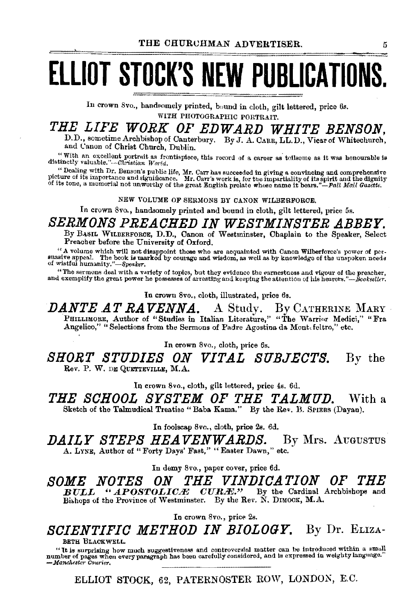# **ELLIOT STOCK'S NEW PUBLICATIONS.**

In crown 8vo., handsomely printed, bound in cloth, gilt lettered, price 6s. WITH PHOTOGRAPHIC PORTRAIT.

# THE LIFE WORK OF EDWARD WHITE BENSON,

D.D., sometime Archbishop of Canterbury. By J. A. CARR, LL.D., Vicar of Whitechurch, and Canon of Christ Church. Dublin.

"With an excellent portrait as frontispiece, this record of a career as toilsome as it was honourable is distinctly valuable."--Christian  $Ward$ .

"Dealing with Dr. Benson's public life, Mr. Carr has succeeded in giving a convincing and comprehensive picture of its importance and significance. Mr. Carr's work is, for the impartiality of its spirit and the dignity of

NEW VOLUME OF SERMONS BY CANON WILBERFORCE.

In crown 8vo., handsomely printed and bound in cloth, gilt lettered, price 5s.

### SERMONS PREACHED IN WESTMINSTER ABBEY.

By BASIL WILBERFORCE, D.D., Canon of Westminster, Chaplain to the Speaker. Select Preacher before the University of Oxford.

"A volume which will not disappoint those who are acquainted with Canon Wilberforce's power of persuasive appeal. The book is marked by courage and wisdom, as well as by knowledge of the unspoken needs of wistful humanity.

"The sermons deal with a variety of topics, but they evidence the extrestness and vigour of the preacher, and exemplify the great power he possesses of arresting and keeping the attention of his hearers."—Bookseller.

In crown 8vo., cloth, illustrated, price 6s.

**DANTE AT RAVENNA.** A Study. By CATHERINE MARY PHILLIMORE, Author of "Studies in Italian Literature," "The Warrior Medici," "Fra Angelico," "Selections from the Sermons of Padre Agostina da Mont feltro," etc.

In crown 8vo., cloth, price 6s.

SHORT STUDIES ON VITAL SUBJECTS. By the Rev. P. W. DE QUETTEVILLE, M.A.

In crown 8vo., cloth, gilt lettered, price 4s. 6d.

THE SCHOOL SYSTEM OF THE TALMUD. With a Sketch of the Talmudical Treatise "Baba Kama." By the Rev. B. SPIERS (Davan).

In foolscap 8vo., cloth, price 2s. 6d.

*DAILY STEPS HEAVENWARDS.* By Mrs. AUGUSTUS A. LYNE, Author of "Forty Days' Fast," "Easter Dawn," etc.

In demy 8vo., paper cover, price 6d.

SOME NOTES THE VINDICATION OF THE ON. "APOSTOLICÆ CURÆ." By the Cardinal Archbishops and  $\bm{B} \bm{U} \bm{L} \bm{L}$ Bishops of the Province of Westminster. By the Rev. N. DIMOCK, M.A.

In crown 8vo., price 2s.

SCIENTIFIC METHOD IN BIOLOGY. By Dr. ELIZA-

BETH BLACKWELL.

"It is surprising how much suggestiveness and controversial matter can be introduced within a small number of pages when every paragraph has been carefully considered, and is expressed in weighty language." — Manchester Courier.

ELLIOT STOCK, 62, PATERNOSTER ROW, LONDON, E.C.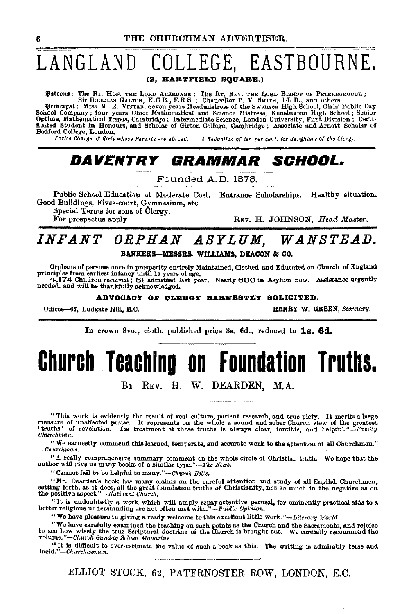### LANGLAND OLLEGE, EASTBOURNE.

(2, HARTFIELD SQUARE.)

Patrons: The Rr. Hos. THE LORD ABERDARE; The Rr. REV. THE LORD BISHOP OF PETERBOROUGH;<br>Sir Douglas Galfron, K.C.B., F.R.S.; Chancellor P. V. SMITH, LL.D., and others.<br>Principal: Miss M. E. VINTER, Seven years Headmistress

Finally at the School Company; four years Chief Mathematical and Science Mistress, Kensington High School; Senior Optime, Mathematical Tripos, Cambridge; Intermediate Science, London University, First Division; Certificate Bedford College, London.

Entire Charge of Girls whose Parents are abroad. A Reduction of ten per cent, for daughters of the Clergy.

# DAVENTRY GRAMMAR SCHOOL.

Founded A.D. 1878.

Public School Education at Moderate Cost. Entrance Scholarships. Healthy situation. Good Buildings, Fives-court, Gymnasium, etc.

Special Terms for sons of Clergy.

For prospectus apply

REV. H. JOHNSON. Head Master.

## INFANT ORPHAN ASYLUM, WANSTEAD. BANKERS-MESSRS. WILLIAMS. DEACON & CO.

Orphans of persons once in prosperity entirely Maintained, Clothed and Educated on Church of England<br>principles from earliest infancy until 15 years of age.<br>4.174 Children received; 61 admitted last year. Nearly 600 in Asy

ADVOCACY OF CLEBGY EARNESTLY SOLICITED.

Offices-63, Ludgate Hill, E.C.

HENRY W. GREEN, Secretary.

In crown 8vo., cloth, published price 3s. 6d., reduced to 1s. 6d.

# **Church Teaching on Foundation Truths.**

BY REV. H. W. DEARDEN, M.A.

"This work is evidently the result of real culture, patient research, and true plety. It merits a large measure of unaffected praise. It represents on the whole a sound and sober Church view of the greatest 'truths' of re Churchman.

"We earnestly commend this learned, temperate, and accurate work to the attention of all Churchmen."  $-churchman.$ 

"A really comprehensive summary comment on the whole circle of Christian truth. We hope that the author will give us many books of a similar type."-The News.

"Cannot fail to be helpful to many."-Church Bells.

"Mr. Dearden's book has many claims on the careful attention and study of all English Churchmen, setting forth, as it does, all the great foundation truths of Christianity, not so much in the negative as on the positive aspect."--National Church,

"It is undoubtedly a work which will amply repay attentive perusal, for eminently practical aids to a better religious understanding are not often met with," $-p$ whic Opinion.

"We have pleasure in giving a ready welcome to this excellent little work."-Literary World.

"We have carefully examined the teaching on such points as the Church and the Sacraments, and rejoice to see how wisely the true Scriptural doctrine of the Church is brought out. We cordially recommend the volume."-Church Sunday School Magazine.

"It is difficult to over-estimate the value of such a book as this. The writing is admirably terse and lucid."-Churchwoman.

ELLIOT STOCK, 62, PATERNOSTER ROW, LONDON, E.C.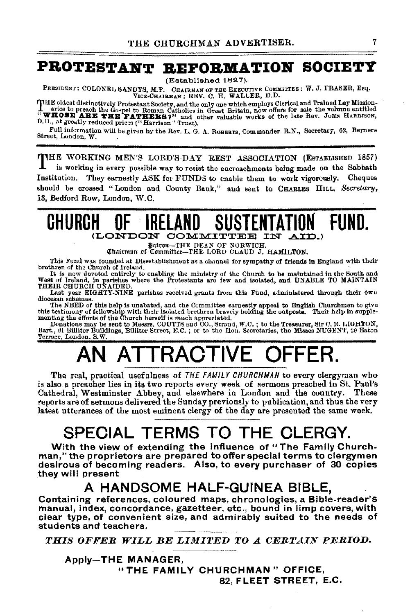# PROTESTANT REFORMATION SOCIETY

(Established 1827).

PRESIDENT: COLONEL SANDYS, M.P. CHAIRMAN OF THE EXECUTIVE COMMITTEE: W. J. FRASER, Esq.<br>VICE-CHAIRMAN: REV. C. H. WALLER, D.D.

THE oldest distinctively Protestant Society, and the only one which employs Cierical and Trained Lay Mission-<br>aries to preach the Go-pel to Roman Catholics in Great Britain, now offers for sale the volume entitled<br>"WHOSE A D.D., at greatly reduced prices ("Harrison" Trust).

Full information will be given by the Rev. L. G. A. ROBERTS, Commander R.N., Secretary, 62, Berners Street, London, W.

THE WORKING MEN'S LORD'S-DAY REST ASSOCIATION (ESTABLISHED 1857) is working in every possible way to resist the encroachments being made on the Sabbath Institution. They earnestly ASK for FUNDS to enable them to work vigorously. Cheques should be crossed "London and County Bank," and sent to CHARLES HILL, Secretary, 13, Bedford Row, London, W.C.

### FIIND. GHURCH (LONDON COMMITTEE IN AID.)

Patron-THE DEAN OF NORWICH.

Chairman of Committee-THE LORD CLAUD J. HAMILTON.

This Fund was founded at Disestablishment as a channel for sympathy of friends in England with their brethren of the Church of Ireland.

It is now devoted entirely to enabling the ministry of the Church to be maintained in the South and West of Ireland, in parishes where the Protestants are few and isolated, and UNABLE TO MAINTAIN THEIR CHURCH UNAIDED.

Last year EIGHTY-NINE parishes received grants from this Fund, administered through their own diocesan schemes.

diversal solutions of this help is unabated, and the Committee earnestly appeal to English Churchmen to give<br>this testimony of fellowship with their isolated brethren bravely holding the outposts. Their help in supple-<br>mon

Terrace, London, S.W.

The real, practical usefulness of THE FAMILY CHURCHMAN to every clergyman who is also a preacher lies in its two reports every week of sermons preached in St. Paul's Cathedral, Westminster Abbey, and elsewhere in London and the country. These reports are of sermons delivered the Sunday previously to publication, and thus the very latest utterances of the most eminent clergy of the day are presented the same week.

# SPECIAL TERMS TO THE CLERGY.

With the view of extending the influence of "The Family Churchman," the proprietors are prepared to offer special terms to clergymen desirous of becoming readers. Also, to every purchaser of 30 copies they will present

# A HANDSOME HALF-GUINEA BIBLE,

Containing references, coloured maps, chronologies, a Bible-reader's manual, index, concordance, gazetteer, etc., bound in limp covers, with clear type, of convenient size, and admirably suited to the needs of students and teachers.

THIS OFFER WILL BE LIMITED TO A CERTAIN PERIOD.

**Apply-THE MANAGER,** "THE FAMILY CHURCHMAN" OFFICE, 82, FLEET STREET, E.C.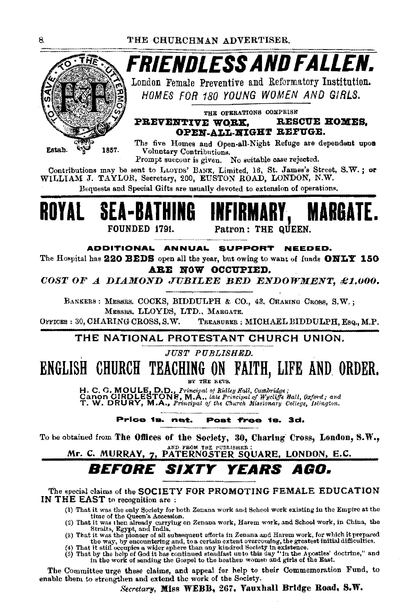

Prompt succour is given. No suitable case rejected.

Contributions may be sent to LLOYDS' BANK, Limited, 16, St. James's Street, S.W. ; or WILLIAM J. TAYLOR, Secretary, 200, EUSTON ROAD, LONDON, N.W.

Bequests and Special Gifts are usually devoted to extension of operations.



ADDITIONAL ANNUAL SUPPORT NEEDED.

The Hospital has 220 BEDS open all the year, but owing to want of funds ONLY 150 ARE NOW OCCUPIED.

COST OF A DIAMOND JUBILEE BED ENDOWMENT, £1,000.

BANKERS : MESSRS. COCKS, BIDDULPH & CO., 43, CHARING CROSS, S.W.; MESSES, LLOYDS, LTD., MARGATE.

OFFICES: 30. CHARING CROSS, S.W. TREASURER : MICHAEL BIDDULPH, Esq., M.P.

### THE NATIONAL PROTESTANT CHURCH UNION.

### **JUST PUBLISHED.**

# ENGLISH CHURCH TEACHING ON FAITH, LIFE AND ORDER.

BY THE REVS.

H. C. G. MOULE, D.D., Frincipal of Ridley Hall, Cambridge;<br>Canon CIRDLESTONE, M.A., late Principal of Wycliffe Hall, Oxford; and<br>T. W. DRURY, M.A., Principal of the Church Missionary College, Islington.

Price 1s. net. Post free is. 3d.

To be obtained from The Offices of the Society, 30, Charing Cross, London, S.W., AND FROM THE PUBLISHER

Mr. C. MURRAY, 7, PATERNOSTER SQUARE, LONDON, E.C.

#### *Before Sixty* YEARS AGO.

The special claims of the SOCIETY FOR PROMOTING FEMALE EDUCATION IN THE EAST to recognition are:

(1) That it was the only Society for both Zenana work and School work existing in the Empire at the

(1) That it was the only Society for both Zenana work and Senou work sassing in the simulation of the Queen's Accession.<br>
(2) That it was then already carrying on Zenana work, Harem work, and School work, in China, the<br>
S

The Committee urge these claims, and appeal for help to their Commemoration Fund, to enable them to strengthen and extend the work of the Society.

Secretary, Miss WEBB, 267, Vauxhall Bridge Road, S.W.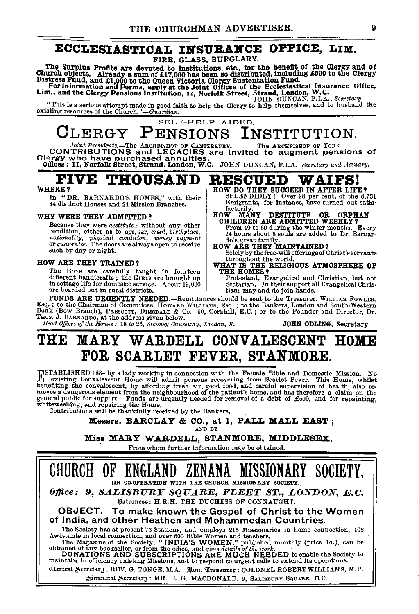### ECCLESIASTICAL INSURANCE OFFICE, LIM.

FIRE, GLASS, BURGLARY.

The Surplus Profits are devoted to Latin Book and the benefit of the Clergy and of<br>Church objects. Already a sum of £17,000 has been so distributed, including £500 to the Clergy<br>Distress Fund, and £1,000 to the Queen Victo

"This is a serious attempt made in good faith to help the Clergy to help themselves, and to husband the existing resources of the Church."-Guardian.

#### SELF-HELP AIDED. PENSIONS  $CLERGY$ INSTITUTION.

Joint Presidents.—The ARCHENSHOP OF CANTERBURY. The ARCHENSHOP OF YORK.<br>CONTRIBUTIONS and LECACIES are invited to augment pensions of<br>Clergy who have purchased annuities.<br>Offices: 11, Norfolk Street, Strand, London, W.C. J The ARCHBISHOP OF YORK.

factorily

FIVE **THOUSAND RESCUED** 

### WHERE?

In "DR. BARNARDO'S HOMES," with their 84 distinct Houses and 24 Mission Branches.

#### WHY WERE THEY ADMITTED?

Because they were *destitute*; without any other condition, either as to age, sex, creed, birthplace, condition, either as w age, exa, error, example...,<br>nationality, physical condition, money payment<br>or guarantee. The doors are always open to receive such by day or night.

#### HOW ARE THEY TRAINED?

The Boys are carefully taught in fourteen different handicrafts; the GIRLS are brought up in cottage life for domestic service. About 19,000 are boarded out in rural districts.

**FUNDS ARE URGENTLY NEEDED**-Remittances should be sent to the Treasurer, WILLIAM FOWLER. Esq.; to the Chairman of Committee, Howard Williams Social of Bankers, London and South-Western<br>Bank (Bow Branch), PRESCOTT, DIMSDALE & Co., 50, Cornhill, E.C.; or to the Founder and Director, Dr.<br>Thus. J. BARNARDO, at the Head Offices of the Homes: 18 to 26, Stepney Causeway, London, E. JOHN ODLING, Secretary.

### MARY WARDELL CONVALESCENT HOME THO FOR SCARLET FEVER, STANMORE.

INSTABLISHED 1884 by a lady working in connection with the Female Bible and Domestic Mission. No<br>existing Convalescent Home will admit persons recovering from Scarlet Fever. This Home, whilst<br>benefiting the convalescent, b general public for support. Funds are urgently needed for removal of a debt of £600, and for repainting, whitewashing, and repairing the Home.<br>Contributions will be thankfully received by the Bankers,



AND BY

Miss MARY WARDELL, STANMORE, MIDDLESEX,

From whom further information may be obtained,



**WAIFS!** 

**ORPHAN** 

HOW DO THEY SUCCEED IN AFTER LIFE? SPLENDIDLY! Over 98 per cent. of the 8,731

HOW MANY DESTITUTE OR ORPH CHILDREN ARE ADMITTED WEEKLY?

tians may and do join hands.

Emigrants, for instance, have turned out satis-

From 40 to 60 during the winter months. Every<br>24 hours about 8 souls are added to Dr. Barnar-

do's great family.<br>HOW ARE THEY MAINTAINED?<br>Solely by the free-will offerings of Christ's servants

throughout the world.<br>WHAT IS THE RELIGIOUS ATMOSPHERE OF THE HOMES?

Protestant, Evangelical and Christian, but not<br>Sectarian. In their support all Evangelical Chris-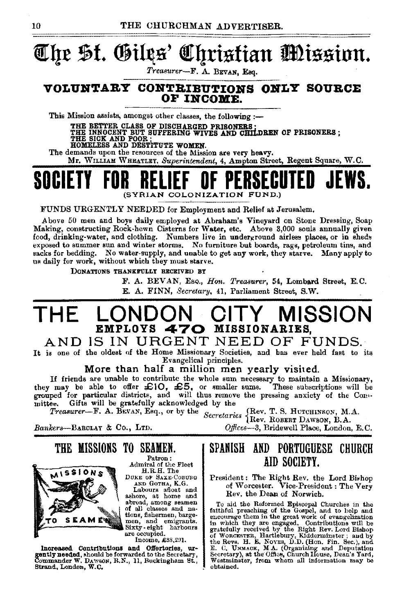# **t!Cq£ \$f. ®illls' 4l!f!tisfian tmissinn.**

*Treasurer-F.* A. BEVAN, Esq.

### **VOLUNTARY CONTRIBUTIONS ONLY SOUBCE OF INCOME.**

This Mission assists, amongst other classes, the following :-

THE BETTER CLASS OF DISCHARGED PRISONERS •<br>THE INNOCENT BUT SUFFERING WIVES AND CHILDREN OF PRISONERS ;<br>THE SICK AND POOR · HOMEN.<br>HOMELESS AND DESTITUTE WOMEN.

The demands upon the resources of the Mission are very heavy.

Mr. WILLIAM WHEATLEY, Superintendent, 4, Ampton Street, Regent Square, W.C.



FUNDS URGENTLY NEEDED for Employment and Relief at Jerusalem.

Above 50 men and boys daily employed at Abraham's Vineyard on Stone Dressing, Soap Making, constructing Rock-hewn Cisterns for Water, etc. Above 3,000 souls annually given food, drinking-water, and clothing. Numbers live in underground airless places, or in sheds exposed to summer sun and winter storms. No furniture but boards, rags, petroleum tins, and sacks for bedding. No water-supply, and unable to get any work, they starve. Many apply to us daily for work, without which they must starve.

DONATIONS THANKFULLY RECEIVED BY

F. A. BEVAN, EsQ., *Hon. Treasurer,* 54, Lombard Street, E.C.

E. A. FINN, *Secretary,* 41, Parliament Street, S.W.

# **THE LONDON CITY MISSION EMPLOYS 470** MISSIONARIES,

### AND IS IN URGENT NEED OF FUNDS.

It is one of the oldest of the Home Missionary Societies, and bas ever held fast to its Evangelical principles.

More than half a million men yearly visited.

If friends are unable to contribute the whole sum necessary to maintain a Missionary,<br>they may be able to offer  $\mathcal{L}(O, \mathcal{L}5, \text{ or smaller sums.}$  These subscriptions will be<br>grouped for particular districts, and will thus remove mittee. Gifts will be gratefully acknowledged by the

*Treasurer*—F. A. BEVAN, Esq., or by the Secretaries (Rev. T. S. HUTCHINSON, M.A.

*Bankers-BARCLAY* & Co., LTD. *0./fices-3,* Bridewell Place, London, E. C.



Patron: Admiral of the Fleet

DUKE OF SAXE-COBURG AND GOTHA, K.G.

Labours afioat and ashore, at home and<br>abroad, among seamen of all classes and na-<br>tions, fishermen, barge-<br>men, and emigrants.<br>Sixty-eight harbours are occupied.

Income, £38,291.

Increased Contributions and Offertories, urgentlyneeded, should be forwarded to the Secretary, Commander W. DA'sson, R.N., 11, Buckingham St., Btmnd, London, W.C.

THE MISSIONS TO SEAMEN.

## SPANISH AND PORTUGUESE CHURCH AID SOCIETY.

President: The Right Rev. the Lord Bi•hop of Worcester. Vice-President : The Very Rev. the Dean of Norwich.

To aid the Reformed Episcopal Churches in the fathfull preaching of the Gospel, and to help and encourage them in the great work of evangelization in which they are engaged. Contributions will be gratefully received by the Westminster, from whom all information may be obtained.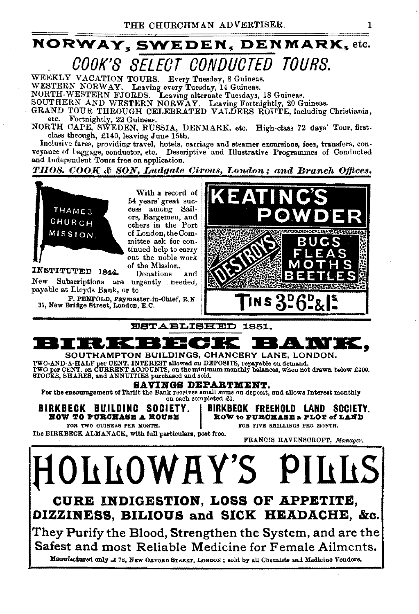# NORWAY, SWEDEN, DENMARK, etc. OOOK'8 8ELEOT OONDUOTED TOURS.

WEEKLY VACATION TOURS. Every Tuesday, 8 Guineas. WESTERN NORWAY. Leaving every Tuesday, 14 Guineas. NORTH-WESTERN FJORDS. Leaving alternate Tuesdays, 18 Guinear. SOUTHERN AND WESTERN NORWAY. Leaving Fortnightly, 20 Guineas. GRAND TOUR THROUGH CELEBRATED VALDERS ROUTE, including Christiania, etc. Fortnightly, 22 Guineas. Fortnightly, 22 Guineas.

NORTH CAPE, SWEDEN, RUSSIA, DENMARK. etc. High-class 72 days' Tour, firstclass through, £140, leaving June 15th.<br>Inclusive fares, providing travel, hotels, carriage and steamer excursions, fees, transfers, con-

veyauce of baggage, conductor, etc. Descriptive and Illustrative Programmes of Conducted and Independent Tours free on application.

*THOS. COOK* & *SON1 Ludgate Circus, London; and Branch Offices.* 



They Purify the Blood, Strengthen the System, and are the Safest and most Reliable Medicine for Female Ailments.

Manufactured only .t 78, NEW OLFOBD STARET, LONDON; sold by all Chemists and Medicine Vendors.